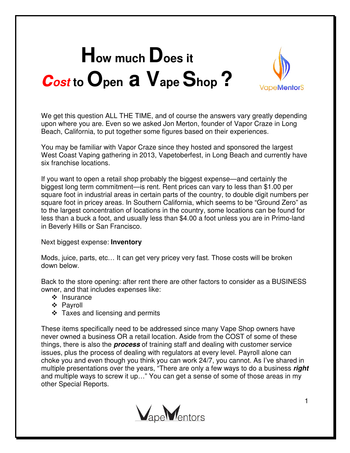## **How much Does it cost to Open a Vape Shop ?**



We get this question ALL THE TIME, and of course the answers vary greatly depending upon where you are. Even so we asked Jon Merton, founder of Vapor Craze in Long Beach, California, to put together some figures based on their experiences.

You may be familiar with Vapor Craze since they hosted and sponsored the largest West Coast Vaping gathering in 2013, Vapetoberfest, in Long Beach and currently have six franchise locations.

If you want to open a retail shop probably the biggest expense—and certainly the biggest long term commitment—is rent. Rent prices can vary to less than \$1.00 per square foot in industrial areas in certain parts of the country, to double digit numbers per square foot in pricey areas. In Southern California, which seems to be "Ground Zero" as to the largest concentration of locations in the country, some locations can be found for less than a buck a foot, and usually less than \$4.00 a foot unless you are in Primo-land in Beverly Hills or San Francisco.

Next biggest expense: **Inventory**

Mods, juice, parts, etc… It can get very pricey very fast. Those costs will be broken down below.

Back to the store opening: after rent there are other factors to consider as a BUSINESS owner, and that includes expenses like:

- $\div$  Insurance
- Payroll
- $\div$  Taxes and licensing and permits

These items specifically need to be addressed since many Vape Shop owners have never owned a business OR a retail location. Aside from the COST of some of these things, there is also the **process** of training staff and dealing with customer service issues, plus the process of dealing with regulators at every level. Payroll alone can choke you and even though you think you can work 24/7, you cannot. As I've shared in multiple presentations over the years, "There are only a few ways to do a business **right**  and multiple ways to screw it up…" You can get a sense of some of those areas in my other Special Reports.

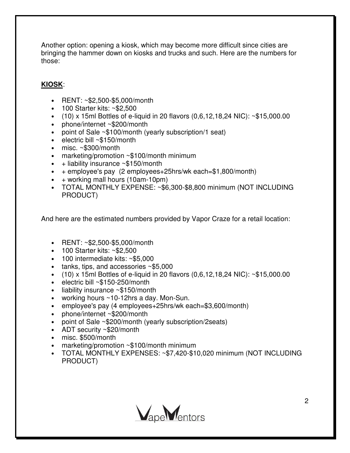Another option: opening a kiosk, which may become more difficult since cities are bringing the hammer down on kiosks and trucks and such. Here are the numbers for those:

## **KIOSK**:

- RENT: ~\$2,500-\$5,000/month
- 100 Starter kits: ~\$2,500
- $(10)$  x 15ml Bottles of e-liquid in 20 flavors  $(0,6,12,18,24 \text{ NIC})$ : ~\$15,000.00
- phone/internet ~\$200/month
- point of Sale ~\$100/month (yearly subscription/1 seat)
- electric bill ~\$150/month
- misc. ~\$300/month
- marketing/promotion ~\$100/month minimum
- $\bullet$  + liability insurance ~\$150/month
- $\bullet$  + employee's pay (2 employees+25hrs/wk each=\$1,800/month)
- $\bullet$  + working mall hours (10am-10pm)
- TOTAL MONTHLY EXPENSE: ~\$6,300-\$8,800 minimum (NOT INCLUDING PRODUCT)

And here are the estimated numbers provided by Vapor Craze for a retail location:

- RENT: ~\$2,500-\$5,000/month
- 100 Starter kits: ~\$2,500
- 100 intermediate kits: ~\$5,000
- tanks, tips, and accessories ~\$5,000
- $(10)$  x 15ml Bottles of e-liquid in 20 flavors  $(0.6, 12, 18, 24$  NIC): ~\$15,000.00
- electric bill ~\$150-250/month
- liability insurance ~\$150/month
- working hours ~10-12hrs a day. Mon-Sun.
- employee's pay (4 employees+25hrs/wk each=\$3,600/month)
- phone/internet ~\$200/month
- point of Sale ~\$200/month (yearly subscription/2seats)
- ADT security ~\$20/month
- misc. \$500/month
- marketing/promotion ~\$100/month minimum
- TOTAL MONTHLY EXPENSES: ~\$7,420-\$10,020 minimum (NOT INCLUDING PRODUCT)

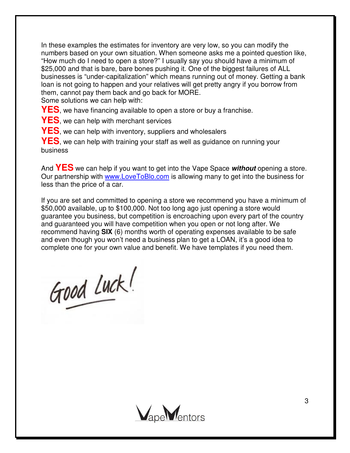In these examples the estimates for inventory are very low, so you can modify the numbers based on your own situation. When someone asks me a pointed question like, "How much do I need to open a store?" I usually say you should have a minimum of \$25,000 and that is bare, bare bones pushing it. One of the biggest failures of ALL businesses is "under-capitalization" which means running out of money. Getting a bank loan is not going to happen and your relatives will get pretty angry if you borrow from them, cannot pay them back and go back for MORE.

Some solutions we can help with:

**YES**, we have financing available to open a store or buy a franchise.

**YES**, we can help with merchant services

**YES**, we can help with inventory, suppliers and wholesalers

**YES**, we can help with training your staff as well as guidance on running your business

And **YES** we can help if you want to get into the Vape Space **without** opening a store. Our partnership with www.LoveToBlo.com is allowing many to get into the business for less than the price of a car.

If you are set and committed to opening a store we recommend you have a minimum of \$50,000 available, up to \$100,000. Not too long ago just opening a store would guarantee you business, but competition is encroaching upon every part of the country and guaranteed you will have competition when you open or not long after. We recommend having **SIX** (6) months worth of operating expenses available to be safe and even though you won't need a business plan to get a LOAN, it's a good idea to complete one for your own value and benefit. We have templates if you need them.

Good Luck!